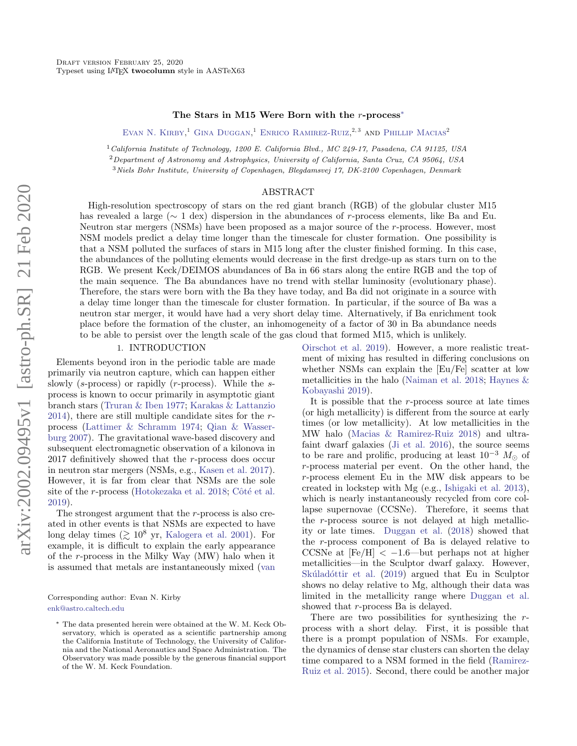### The Stars in M15 Were Born with the r-process[∗](#page-0-0)

EVAN N. KIRBY, <sup>1</sup> GINA DUGGAN, <sup>1</sup> ENRICO RAMIREZ-RUIZ, <sup>2, 3</sup> AND PHILLIP MACIAS<sup>2</sup>

<sup>1</sup>California Institute of Technology, 1200 E. California Blvd., MC 249-17, Pasadena, CA 91125, USA

<sup>2</sup>Department of Astronomy and Astrophysics, University of California, Santa Cruz, CA 95064, USA

<sup>3</sup>Niels Bohr Institute, University of Copenhagen, Blegdamsvej 17, DK-2100 Copenhagen, Denmark

### ABSTRACT

High-resolution spectroscopy of stars on the red giant branch (RGB) of the globular cluster M15 has revealed a large (∼ 1 dex) dispersion in the abundances of r-process elements, like Ba and Eu. Neutron star mergers (NSMs) have been proposed as a major source of the r-process. However, most NSM models predict a delay time longer than the timescale for cluster formation. One possibility is that a NSM polluted the surfaces of stars in M15 long after the cluster finished forming. In this case, the abundances of the polluting elements would decrease in the first dredge-up as stars turn on to the RGB. We present Keck/DEIMOS abundances of Ba in 66 stars along the entire RGB and the top of the main sequence. The Ba abundances have no trend with stellar luminosity (evolutionary phase). Therefore, the stars were born with the Ba they have today, and Ba did not originate in a source with a delay time longer than the timescale for cluster formation. In particular, if the source of Ba was a neutron star merger, it would have had a very short delay time. Alternatively, if Ba enrichment took place before the formation of the cluster, an inhomogeneity of a factor of 30 in Ba abundance needs to be able to persist over the length scale of the gas cloud that formed M15, which is unlikely.

# 1. INTRODUCTION

Elements beyond iron in the periodic table are made primarily via neutron capture, which can happen either slowly ( $s$ -process) or rapidly ( $r$ -process). While the  $s$ process is known to occur primarily in asymptotic giant branch stars [\(Truran & Iben](#page-6-0) [1977;](#page-6-0) [Karakas & Lattanzio](#page-5-0) [2014\)](#page-5-0), there are still multiple candidate sites for the rprocess [\(Lattimer & Schramm](#page-5-1) [1974;](#page-5-1) [Qian & Wasser](#page-6-1)[burg](#page-6-1) [2007\)](#page-6-1). The gravitational wave-based discovery and subsequent electromagnetic observation of a kilonova in 2017 definitively showed that the r-process does occur in neutron star mergers (NSMs, e.g., [Kasen et al.](#page-5-2) [2017\)](#page-5-2). However, it is far from clear that NSMs are the sole site of the r-process [\(Hotokezaka et al.](#page-5-3) [2018;](#page-5-3) Côté et al. [2019\)](#page-5-4).

The strongest argument that the r-process is also created in other events is that NSMs are expected to have long delay times ( $\gtrsim 10^8$  yr, [Kalogera et al.](#page-5-5) [2001\)](#page-5-5). For example, it is difficult to explain the early appearance of the r-process in the Milky Way (MW) halo when it is assumed that metals are instantaneously mixed [\(van](#page-6-2)

Corresponding author: Evan N. Kirby [enk@astro.caltech.edu](mailto: enk@astro.caltech.edu)

[Oirschot et al.](#page-6-2) [2019\)](#page-6-2). However, a more realistic treatment of mixing has resulted in differing conclusions on whether NSMs can explain the [Eu/Fe] scatter at low metallicities in the halo [\(Naiman et al.](#page-5-6) [2018;](#page-5-6) [Haynes &](#page-5-7) [Kobayashi](#page-5-7) [2019\)](#page-5-7).

It is possible that the r-process source at late times (or high metallicity) is different from the source at early times (or low metallicity). At low metallicities in the MW halo [\(Macias & Ramirez-Ruiz](#page-5-8) [2018\)](#page-5-8) and ultrafaint dwarf galaxies [\(Ji et al.](#page-5-9) [2016\)](#page-5-9), the source seems to be rare and prolific, producing at least  $10^{-3}$   $M_{\odot}$  of r-process material per event. On the other hand, the r-process element Eu in the MW disk appears to be created in lockstep with Mg (e.g., [Ishigaki et al.](#page-5-10) [2013\)](#page-5-10), which is nearly instantaneously recycled from core collapse supernovae (CCSNe). Therefore, it seems that the r-process source is not delayed at high metallicity or late times. [Duggan et al.](#page-5-11) [\(2018\)](#page-5-11) showed that the r-process component of Ba is delayed relative to CCSNe at  $[Fe/H] < -1.6$ —but perhaps not at higher metallicities—in the Sculptor dwarf galaxy. However, Skúladóttir et al. [\(2019\)](#page-6-3) argued that Eu in Sculptor shows no delay relative to Mg, although their data was [limited in the metallicity range where](#page-6-2) [Duggan et al.](#page-5-11) showed that *r*-process Ba is delayed.

[There are two possibilities for synthesizing the](#page-6-2)  $r$ process with a short delay. First, it is possible that there is a prompt population of NSMs. For example, the dynamics of dense star clusters can shorten the delay [time compared to a NSM formed in the field \(Ramirez-](#page-6-2)[Ruiz et al.](#page-6-4) [2015\)](#page-6-4). Second, there could be another major

<span id="page-0-0"></span><sup>∗</sup> The data presented herein were obtained at the W. M. Keck Observatory, which is operated as a scientific partnership among the California Institute of Technology, the University of California and the National Aeronautics and Space Administration. The Observatory was made possible by the generous financial support of the W. M. Keck Foundation.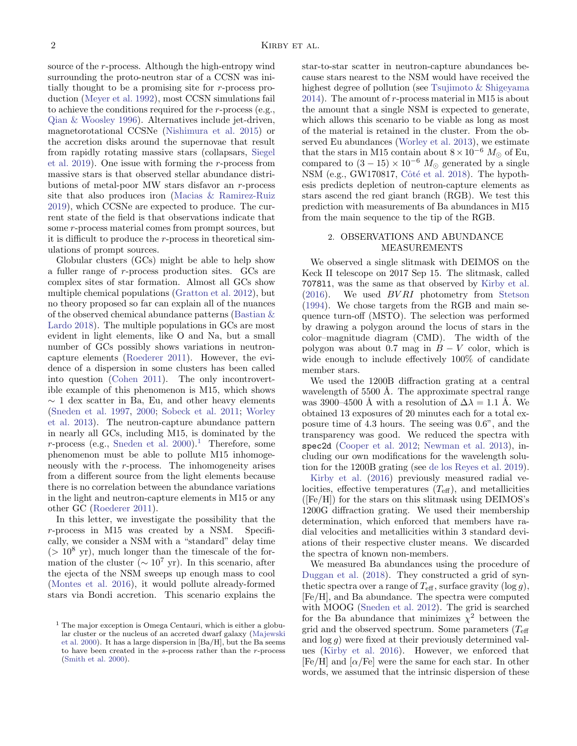source of the r-process. Although the high-entropy wind surrounding the proto-neutron star of a CCSN was initially thought to be a promising site for r-process production [\(Meyer et al.](#page-5-12) [1992\)](#page-5-12), most CCSN simulations fail to achieve the conditions required for the r-process (e.g., [Qian & Woosley](#page-6-5) [1996\)](#page-6-5). Alternatives include jet-driven, magnetorotational CCSNe [\(Nishimura et al.](#page-6-6) [2015\)](#page-6-6) or the accretion disks around the supernovae that result from rapidly rotating massive stars (collapsars, [Siegel](#page-6-7) [et al.](#page-6-7) [2019\)](#page-6-7). One issue with forming the r-process from massive stars is that observed stellar abundance distributions of metal-poor MW stars disfavor an r-process site that also produces iron [\(Macias & Ramirez-Ruiz](#page-5-13) [2019\)](#page-5-13), which CCSNe are expected to produce. The current state of the field is that observations indicate that some r-process material comes from prompt sources, but it is difficult to produce the r-process in theoretical simulations of prompt sources.

Globular clusters (GCs) might be able to help show a fuller range of r-process production sites. GCs are complex sites of star formation. Almost all GCs show multiple chemical populations [\(Gratton et al.](#page-5-14) [2012\)](#page-5-14), but no theory proposed so far can explain all of the nuances of the observed chemical abundance patterns [\(Bastian &](#page-5-15) [Lardo](#page-5-15) [2018\)](#page-5-15). The multiple populations in GCs are most evident in light elements, like O and Na, but a small number of GCs possibly shows variations in neutroncapture elements [\(Roederer](#page-6-8) [2011\)](#page-6-8). However, the evidence of a dispersion in some clusters has been called into question [\(Cohen](#page-5-16) [2011\)](#page-5-16). The only incontrovertible example of this phenomenon is M15, which shows  $\sim$  1 dex scatter in Ba, Eu, and other heavy elements [\(Sneden et al.](#page-6-9) [1997,](#page-6-9) [2000;](#page-6-10) [Sobeck et al.](#page-6-11) [2011;](#page-6-11) [Worley](#page-6-12) [et al.](#page-6-12) [2013\)](#page-6-12). The neutron-capture abundance pattern in nearly all GCs, including M15, is dominated by the r-process (e.g., [Sneden et al.](#page-6-10)  $2000$ ).<sup>[1](#page-1-0)</sup> Therefore, some phenomenon must be able to pollute M15 inhomogeneously with the r-process. The inhomogeneity arises from a different source from the light elements because there is no correlation between the abundance variations in the light and neutron-capture elements in M15 or any other GC [\(Roederer](#page-6-8) [2011\)](#page-6-8).

In this letter, we investigate the possibility that the r-process in M15 was created by a NSM. Specifically, we consider a NSM with a "standard" delay time  $(> 10<sup>8</sup>$  yr), much longer than the timescale of the formation of the cluster ( $\sim 10^7$  yr). In this scenario, after the ejecta of the NSM sweeps up enough mass to cool [\(Montes et al.](#page-5-17) [2016\)](#page-5-17), it would pollute already-formed stars via Bondi accretion. This scenario explains the star-to-star scatter in neutron-capture abundances because stars nearest to the NSM would have received the highest degree of pollution (see [Tsujimoto & Shigeyama](#page-6-14) [2014\)](#page-6-14). The amount of r-process material in M15 is about the amount that a single NSM is expected to generate, which allows this scenario to be viable as long as most of the material is retained in the cluster. From the observed Eu abundances [\(Worley et al.](#page-6-12) [2013\)](#page-6-12), we estimate that the stars in M15 contain about  $8 \times 10^{-6}$   $M_{\odot}$  of Eu, compared to  $(3-15) \times 10^{-6}$   $M_{\odot}$  generated by a single NSM (e.g., GW170817, Côté et al. [2018\)](#page-5-19). The hypothesis predicts depletion of neutron-capture elements as stars ascend the red giant branch (RGB). We test this prediction with measurements of Ba abundances in M15 from the main sequence to the tip of the RGB.

## 2. OBSERVATIONS AND ABUNDANCE MEASUREMENTS

We observed a single slitmask with DEIMOS on the Keck II telescope on 2017 Sep 15. The slitmask, called 7078l1, was the same as that observed by [Kirby et al.](#page-5-20)  $(2016)$ . We used  $BVRI$  photometry from [Stetson](#page-6-15) [\(1994\)](#page-6-15). We chose targets from the RGB and main sequence turn-off (MSTO). The selection was performed by drawing a polygon around the locus of stars in the color–magnitude diagram (CMD). The width of the polygon was about 0.7 mag in  $B - V$  color, which is wide enough to include effectively 100% of candidate member stars.

We used the 1200B diffraction grating at a central wavelength of  $5500$  Å. The approximate spectral range was 3900–4500 Å with a resolution of  $\Delta \lambda = 1.1$  Å. We obtained 13 exposures of 20 minutes each for a total exposure time of 4.3 hours. The seeing was 0.6", and the transparency was good. We reduced the spectra with spec2d [\(Cooper et al.](#page-5-21) [2012;](#page-5-21) [Newman et al.](#page-6-16) [2013\)](#page-6-16), including our own modifications for the wavelength solution for the 1200B grating (see [de los Reyes et al.](#page-5-22) [2019\)](#page-5-22).

[Kirby et al.](#page-5-20) [\(2016\)](#page-5-20) previously measured radial velocities, effective temperatures  $(T_{\text{eff}})$ , and metallicities  $(\text{[Fe/H]})$  for the stars on this slitmask using DEIMOS's 1200G diffraction grating. We used their membership determination, which enforced that members have radial velocities and metallicities within 3 standard deviations of their respective cluster means. We discarded the spectra of known non-members.

We measured Ba abundances using the procedure of [Duggan et al.](#page-5-11) [\(2018\)](#page-5-11). They constructed a grid of synthetic spectra over a range of  $T_{\text{eff}}$ , surface gravity  $(\log g)$ , [Fe/H], and Ba abundance. The spectra were computed with MOOG [\(Sneden et al.](#page-6-17) [2012\)](#page-6-17). The grid is searched for the Ba abundance that minimizes  $\chi^2$  between the grid and the observed spectrum. Some parameters  $(T_{\text{eff}})$ and  $\log g$ ) were fixed at their previously determined values [\(Kirby et al.](#page-5-20) [2016\)](#page-5-20). However, we enforced that [Fe/H] and  $\alpha$ /Fe] were the same for each star. In other words, we assumed that the intrinsic dispersion of these

<span id="page-1-0"></span><sup>1</sup> The major exception is Omega Centauri, which is either a globular cluster or the nucleus of an accreted dwarf galaxy [\(Majewski](#page-5-18) [et al.](#page-5-18) [2000\)](#page-5-18). It has a large dispersion in [Ba/H], but the Ba seems to have been created in the s-process rather than the r-process [\(Smith et al.](#page-6-13) [2000\)](#page-6-13).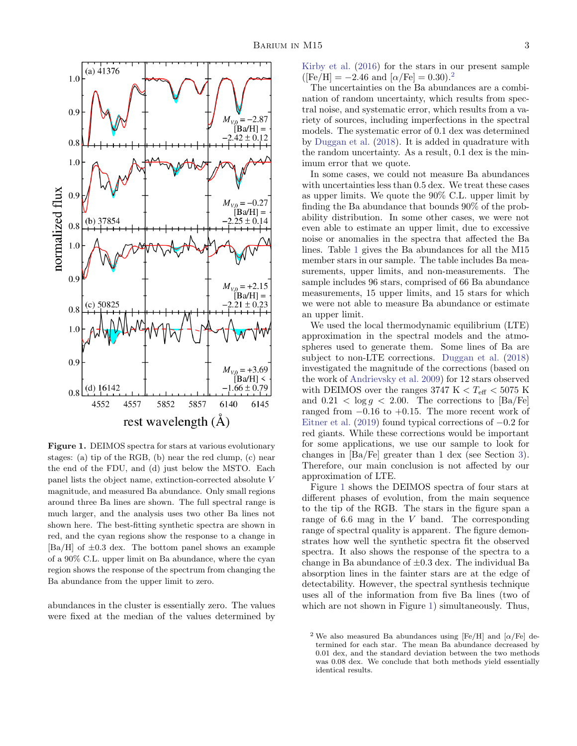

<span id="page-2-1"></span>Figure 1. DEIMOS spectra for stars at various evolutionary stages: (a) tip of the RGB, (b) near the red clump, (c) near the end of the FDU, and (d) just below the MSTO. Each panel lists the object name, extinction-corrected absolute V magnitude, and measured Ba abundance. Only small regions around three Ba lines are shown. The full spectral range is much larger, and the analysis uses two other Ba lines not shown here. The best-fitting synthetic spectra are shown in red, and the cyan regions show the response to a change in  $[Ba/H]$  of  $\pm 0.3$  dex. The bottom panel shows an example of a 90% C.L. upper limit on Ba abundance, where the cyan region shows the response of the spectrum from changing the Ba abundance from the upper limit to zero.

abundances in the cluster is essentially zero. The values were fixed at the median of the values determined by [Kirby et al.](#page-5-20) [\(2016\)](#page-5-20) for the stars in our present sample  $({\rm [Fe/H]} = -2.46$  $({\rm [Fe/H]} = -2.46$  $({\rm [Fe/H]} = -2.46$  and  $[\alpha/{\rm Fe}] = 0.30$ .<sup>2</sup>

The uncertainties on the Ba abundances are a combination of random uncertainty, which results from spectral noise, and systematic error, which results from a variety of sources, including imperfections in the spectral models. The systematic error of 0.1 dex was determined by [Duggan et al.](#page-5-11) [\(2018\)](#page-5-11). It is added in quadrature with the random uncertainty. As a result, 0.1 dex is the minimum error that we quote.

In some cases, we could not measure Ba abundances with uncertainties less than 0.5 dex. We treat these cases as upper limits. We quote the 90% C.L. upper limit by finding the Ba abundance that bounds 90% of the probability distribution. In some other cases, we were not even able to estimate an upper limit, due to excessive noise or anomalies in the spectra that affected the Ba lines. Table [1](#page-7-0) gives the Ba abundances for all the M15 member stars in our sample. The table includes Ba measurements, upper limits, and non-measurements. The sample includes 96 stars, comprised of 66 Ba abundance measurements, 15 upper limits, and 15 stars for which we were not able to measure Ba abundance or estimate an upper limit.

We used the local thermodynamic equilibrium (LTE) approximation in the spectral models and the atmospheres used to generate them. Some lines of Ba are subject to non-LTE corrections. [Duggan et al.](#page-5-11) [\(2018\)](#page-5-11) investigated the magnitude of the corrections (based on the work of [Andrievsky et al.](#page-5-23) [2009\)](#page-5-23) for 12 stars observed with DEIMOS over the ranges 3747 K  $\rm <$   $T_{\rm eff}$   $\rm <$  5075 K and  $0.21 < \log g < 2.00$ . The corrections to  $\text{[Ba/Fe]}$ ranged from  $-0.16$  to  $+0.15$ . The more recent work of [Eitner et al.](#page-5-24) [\(2019\)](#page-5-24) found typical corrections of −0.2 for red giants. While these corrections would be important for some applications, we use our sample to look for changes in [Ba/Fe] greater than 1 dex (see Section [3\)](#page-3-0). Therefore, our main conclusion is not affected by our approximation of LTE.

Figure [1](#page-2-1) shows the DEIMOS spectra of four stars at different phases of evolution, from the main sequence to the tip of the RGB. The stars in the figure span a range of 6.6 mag in the V band. The corresponding range of spectral quality is apparent. The figure demonstrates how well the synthetic spectra fit the observed spectra. It also shows the response of the spectra to a change in Ba abundance of  $\pm 0.3$  dex. The individual Ba absorption lines in the fainter stars are at the edge of detectability. However, the spectral synthesis technique uses all of the information from five Ba lines (two of which are not shown in Figure [1\)](#page-2-1) simultaneously. Thus,

<span id="page-2-0"></span><sup>&</sup>lt;sup>2</sup> We also measured Ba abundances using [Fe/H] and  $\alpha$ /Fe] determined for each star. The mean Ba abundance decreased by 0.01 dex, and the standard deviation between the two methods was 0.08 dex. We conclude that both methods yield essentially identical results.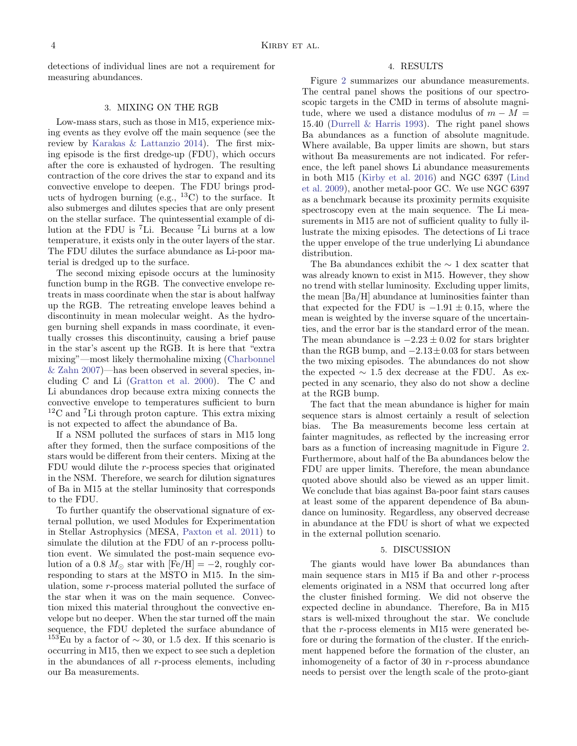detections of individual lines are not a requirement for measuring abundances.

### 3. MIXING ON THE RGB

<span id="page-3-0"></span>Low-mass stars, such as those in M15, experience mixing events as they evolve off the main sequence (see the review by [Karakas & Lattanzio](#page-5-0) [2014\)](#page-5-0). The first mixing episode is the first dredge-up (FDU), which occurs after the core is exhausted of hydrogen. The resulting contraction of the core drives the star to expand and its convective envelope to deepen. The FDU brings products of hydrogen burning  $(e.g., 13C)$  to the surface. It also submerges and dilutes species that are only present on the stellar surface. The quintessential example of dilution at the FDU is <sup>7</sup>Li. Because <sup>7</sup>Li burns at a low temperature, it exists only in the outer layers of the star. The FDU dilutes the surface abundance as Li-poor material is dredged up to the surface.

The second mixing episode occurs at the luminosity function bump in the RGB. The convective envelope retreats in mass coordinate when the star is about halfway up the RGB. The retreating envelope leaves behind a discontinuity in mean molecular weight. As the hydrogen burning shell expands in mass coordinate, it eventually crosses this discontinuity, causing a brief pause in the star's ascent up the RGB. It is here that "extra mixing"—most likely thermohaline mixing [\(Charbonnel](#page-5-25) [& Zahn](#page-5-25) [2007\)](#page-5-25)—has been observed in several species, including C and Li [\(Gratton et al.](#page-5-26) [2000\)](#page-5-26). The C and Li abundances drop because extra mixing connects the convective envelope to temperatures sufficient to burn  ${}^{12}$ C and <sup>7</sup>Li through proton capture. This extra mixing is not expected to affect the abundance of Ba.

If a NSM polluted the surfaces of stars in M15 long after they formed, then the surface compositions of the stars would be different from their centers. Mixing at the FDU would dilute the r-process species that originated in the NSM. Therefore, we search for dilution signatures of Ba in M15 at the stellar luminosity that corresponds to the FDU.

To further quantify the observational signature of external pollution, we used Modules for Experimentation in Stellar Astrophysics (MESA, [Paxton et al.](#page-6-18) [2011\)](#page-6-18) to simulate the dilution at the FDU of an r-process pollution event. We simulated the post-main sequence evolution of a 0.8  $M_{\odot}$  star with  $[Fe/H] = -2$ , roughly corresponding to stars at the MSTO in M15. In the simulation, some r-process material polluted the surface of the star when it was on the main sequence. Convection mixed this material throughout the convective envelope but no deeper. When the star turned off the main sequence, the FDU depleted the surface abundance of <sup>153</sup>Eu by a factor of  $\sim$  30, or 1.5 dex. If this scenario is occurring in M15, then we expect to see such a depletion in the abundances of all  $r$ -process elements, including our Ba measurements.

#### 4. RESULTS

Figure [2](#page-4-0) summarizes our abundance measurements. The central panel shows the positions of our spectroscopic targets in the CMD in terms of absolute magnitude, where we used a distance modulus of  $m - M =$ 15.40 [\(Durrell & Harris](#page-5-27) [1993\)](#page-5-27). The right panel shows Ba abundances as a function of absolute magnitude. Where available, Ba upper limits are shown, but stars without Ba measurements are not indicated. For reference, the left panel shows Li abundance measurements in both M15 [\(Kirby et al.](#page-5-20) [2016\)](#page-5-20) and NGC 6397 [\(Lind](#page-5-28) [et al.](#page-5-28) [2009\)](#page-5-28), another metal-poor GC. We use NGC 6397 as a benchmark because its proximity permits exquisite spectroscopy even at the main sequence. The Li measurements in M15 are not of sufficient quality to fully illustrate the mixing episodes. The detections of Li trace the upper envelope of the true underlying Li abundance distribution.

The Ba abundances exhibit the  $\sim$  1 dex scatter that was already known to exist in M15. However, they show no trend with stellar luminosity. Excluding upper limits, the mean [Ba/H] abundance at luminosities fainter than that expected for the FDU is  $-1.91 \pm 0.15$ , where the mean is weighted by the inverse square of the uncertainties, and the error bar is the standard error of the mean. The mean abundance is  $-2.23 \pm 0.02$  for stars brighter than the RGB bump, and  $-2.13\pm0.03$  for stars between the two mixing episodes. The abundances do not show the expected  $\sim$  1.5 dex decrease at the FDU. As expected in any scenario, they also do not show a decline at the RGB bump.

The fact that the mean abundance is higher for main sequence stars is almost certainly a result of selection bias. The Ba measurements become less certain at fainter magnitudes, as reflected by the increasing error bars as a function of increasing magnitude in Figure [2.](#page-4-0) Furthermore, about half of the Ba abundances below the FDU are upper limits. Therefore, the mean abundance quoted above should also be viewed as an upper limit. We conclude that bias against Ba-poor faint stars causes at least some of the apparent dependence of Ba abundance on luminosity. Regardless, any observed decrease in abundance at the FDU is short of what we expected in the external pollution scenario.

#### 5. DISCUSSION

The giants would have lower Ba abundances than main sequence stars in M15 if Ba and other  $r$ -process elements originated in a NSM that occurred long after the cluster finished forming. We did not observe the expected decline in abundance. Therefore, Ba in M15 stars is well-mixed throughout the star. We conclude that the r-process elements in M15 were generated before or during the formation of the cluster. If the enrichment happened before the formation of the cluster, an inhomogeneity of a factor of 30 in r-process abundance needs to persist over the length scale of the proto-giant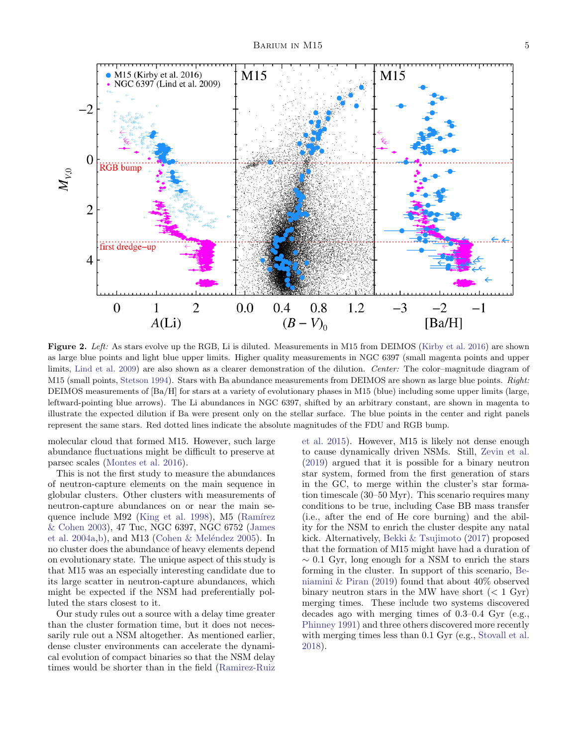

<span id="page-4-0"></span>Figure 2. Left: As stars evolve up the RGB, Li is diluted. Measurements in M15 from DEIMOS [\(Kirby et al.](#page-5-20) [2016\)](#page-5-20) are shown as large blue points and light blue upper limits. Higher quality measurements in NGC 6397 (small magenta points and upper limits, [Lind et al.](#page-5-28) [2009\)](#page-5-28) are also shown as a clearer demonstration of the dilution. Center: The color–magnitude diagram of M15 (small points, [Stetson](#page-6-15) [1994\)](#page-6-15). Stars with Ba abundance measurements from DEIMOS are shown as large blue points. Right: DEIMOS measurements of [Ba/H] for stars at a variety of evolutionary phases in M15 (blue) including some upper limits (large, leftward-pointing blue arrows). The Li abundances in NGC 6397, shifted by an arbitrary constant, are shown in magenta to illustrate the expected dilution if Ba were present only on the stellar surface. The blue points in the center and right panels represent the same stars. Red dotted lines indicate the absolute magnitudes of the FDU and RGB bump.

molecular cloud that formed M15. However, such large abundance fluctuations might be difficult to preserve at parsec scales [\(Montes et al.](#page-5-17) [2016\)](#page-5-17).

This is not the first study to measure the abundances of neutron-capture elements on the main sequence in globular clusters. Other clusters with measurements of neutron-capture abundances on or near the main se-quence include M92 [\(King et al.](#page-5-29) [1998\)](#page-5-29), M5 (Ramírez [& Cohen](#page-6-19) [2003\)](#page-6-19), 47 Tuc, NGC 6397, NGC 6752 [\(James](#page-5-30) [et al.](#page-5-30) [2004a](#page-5-30)[,b\)](#page-5-31), and M13 (Cohen & Meléndez [2005\)](#page-5-32). In no cluster does the abundance of heavy elements depend on evolutionary state. The unique aspect of this study is that M15 was an especially interesting candidate due to its large scatter in neutron-capture abundances, which might be expected if the NSM had preferentially polluted the stars closest to it.

Our study rules out a source with a delay time greater than the cluster formation time, but it does not necessarily rule out a NSM altogether. As mentioned earlier, dense cluster environments can accelerate the dynamical evolution of compact binaries so that the NSM delay times would be shorter than in the field [\(Ramirez-Ruiz](#page-6-4)

[et al.](#page-6-4) [2015\)](#page-6-4). However, M15 is likely not dense enough to cause dynamically driven NSMs. Still, [Zevin et al.](#page-6-20) [\(2019\)](#page-6-20) argued that it is possible for a binary neutron star system, formed from the first generation of stars in the GC, to merge within the cluster's star formation timescale (30–50 Myr). This scenario requires many conditions to be true, including Case BB mass transfer (i.e., after the end of He core burning) and the ability for the NSM to enrich the cluster despite any natal kick. Alternatively, [Bekki & Tsujimoto](#page-5-33) [\(2017\)](#page-5-33) proposed that the formation of M15 might have had a duration of  $\sim$  0.1 Gyr, long enough for a NSM to enrich the stars forming in the cluster. In support of this scenario, [Be](#page-5-34)[niamini & Piran](#page-5-34) [\(2019\)](#page-5-34) found that about 40% observed binary neutron stars in the MW have short  $(< 1 \text{ Gyr})$ merging times. These include two systems discovered decades ago with merging times of 0.3–0.4 Gyr (e.g., [Phinney](#page-6-21) [1991\)](#page-6-21) and three others discovered more recently with merging times less than 0.1 Gyr (e.g., [Stovall et al.](#page-6-22) [2018\)](#page-6-22).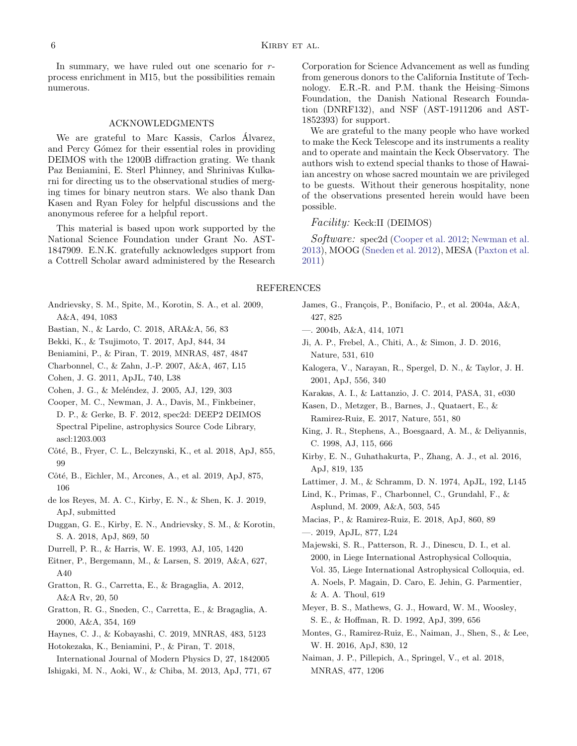In summary, we have ruled out one scenario for rprocess enrichment in M15, but the possibilities remain numerous.

#### ACKNOWLEDGMENTS

We are grateful to Marc Kassis, Carlos Álvarez, and Percy Gómez for their essential roles in providing DEIMOS with the 1200B diffraction grating. We thank Paz Beniamini, E. Sterl Phinney, and Shrinivas Kulkarni for directing us to the observational studies of merging times for binary neutron stars. We also thank Dan Kasen and Ryan Foley for helpful discussions and the anonymous referee for a helpful report.

This material is based upon work supported by the National Science Foundation under Grant No. AST-1847909. E.N.K. gratefully acknowledges support from a Cottrell Scholar award administered by the Research Corporation for Science Advancement as well as funding from generous donors to the California Institute of Technology. E.R.-R. and P.M. thank the Heising–Simons Foundation, the Danish National Research Foundation (DNRF132), and NSF (AST-1911206 and AST-1852393) for support.

We are grateful to the many people who have worked to make the Keck Telescope and its instruments a reality and to operate and maintain the Keck Observatory. The authors wish to extend special thanks to those of Hawaiian ancestry on whose sacred mountain we are privileged to be guests. Without their generous hospitality, none of the observations presented herein would have been possible.

# Facility: Keck:II (DEIMOS)

Software: spec2d [\(Cooper et al.](#page-5-21) [2012;](#page-5-21) [Newman et al.](#page-6-16) [2013\)](#page-6-16), MOOG [\(Sneden et al.](#page-6-17) [2012\)](#page-6-17), MESA [\(Paxton et al.](#page-6-18) [2011\)](#page-6-18)

#### REFERENCES

- <span id="page-5-23"></span>Andrievsky, S. M., Spite, M., Korotin, S. A., et al. 2009, A&A, 494, 1083
- <span id="page-5-15"></span>Bastian, N., & Lardo, C. 2018, ARA&A, 56, 83
- <span id="page-5-33"></span>Bekki, K., & Tsujimoto, T. 2017, ApJ, 844, 34
- <span id="page-5-34"></span><span id="page-5-25"></span>Beniamini, P., & Piran, T. 2019, MNRAS, 487, 4847
- <span id="page-5-16"></span>Charbonnel, C., & Zahn, J.-P. 2007, A&A, 467, L15
- Cohen, J. G. 2011, ApJL, 740, L38
- <span id="page-5-32"></span>Cohen, J. G., & Meléndez, J. 2005, AJ, 129, 303
- <span id="page-5-21"></span>Cooper, M. C., Newman, J. A., Davis, M., Finkbeiner, D. P., & Gerke, B. F. 2012, spec2d: DEEP2 DEIMOS Spectral Pipeline, astrophysics Source Code Library, ascl:1203.003
- <span id="page-5-19"></span>Côté, B., Fryer, C. L., Belczynski, K., et al. 2018, ApJ, 855, 99
- <span id="page-5-4"></span>Côté, B., Eichler, M., Arcones, A., et al. 2019, ApJ, 875, 106
- <span id="page-5-22"></span>de los Reyes, M. A. C., Kirby, E. N., & Shen, K. J. 2019, ApJ, submitted
- <span id="page-5-11"></span>Duggan, G. E., Kirby, E. N., Andrievsky, S. M., & Korotin, S. A. 2018, ApJ, 869, 50
- <span id="page-5-27"></span>Durrell, P. R., & Harris, W. E. 1993, AJ, 105, 1420
- <span id="page-5-24"></span>Eitner, P., Bergemann, M., & Larsen, S. 2019, A&A, 627, A40
- <span id="page-5-14"></span>Gratton, R. G., Carretta, E., & Bragaglia, A. 2012, A&A Rv, 20, 50
- <span id="page-5-26"></span>Gratton, R. G., Sneden, C., Carretta, E., & Bragaglia, A. 2000, A&A, 354, 169
- <span id="page-5-7"></span>Haynes, C. J., & Kobayashi, C. 2019, MNRAS, 483, 5123
- <span id="page-5-3"></span>Hotokezaka, K., Beniamini, P., & Piran, T. 2018,

<span id="page-5-10"></span>International Journal of Modern Physics D, 27, 1842005 Ishigaki, M. N., Aoki, W., & Chiba, M. 2013, ApJ, 771, 67

- <span id="page-5-30"></span>James, G., François, P., Bonifacio, P., et al. 2004a, A&A, 427, 825
- <span id="page-5-31"></span>—. 2004b, A&A, 414, 1071
- <span id="page-5-9"></span>Ji, A. P., Frebel, A., Chiti, A., & Simon, J. D. 2016, Nature, 531, 610
- <span id="page-5-5"></span>Kalogera, V., Narayan, R., Spergel, D. N., & Taylor, J. H. 2001, ApJ, 556, 340
- <span id="page-5-0"></span>Karakas, A. I., & Lattanzio, J. C. 2014, PASA, 31, e030

<span id="page-5-2"></span>Kasen, D., Metzger, B., Barnes, J., Quataert, E., & Ramirez-Ruiz, E. 2017, Nature, 551, 80

- <span id="page-5-29"></span>King, J. R., Stephens, A., Boesgaard, A. M., & Deliyannis, C. 1998, AJ, 115, 666
- <span id="page-5-20"></span>Kirby, E. N., Guhathakurta, P., Zhang, A. J., et al. 2016, ApJ, 819, 135
- <span id="page-5-1"></span>Lattimer, J. M., & Schramm, D. N. 1974, ApJL, 192, L145
- <span id="page-5-28"></span>Lind, K., Primas, F., Charbonnel, C., Grundahl, F., & Asplund, M. 2009, A&A, 503, 545
- <span id="page-5-8"></span>Macias, P., & Ramirez-Ruiz, E. 2018, ApJ, 860, 89
- <span id="page-5-13"></span>—. 2019, ApJL, 877, L24
- <span id="page-5-18"></span>Majewski, S. R., Patterson, R. J., Dinescu, D. I., et al. 2000, in Liege International Astrophysical Colloquia, Vol. 35, Liege International Astrophysical Colloquia, ed. A. Noels, P. Magain, D. Caro, E. Jehin, G. Parmentier, & A. A. Thoul, 619
- <span id="page-5-12"></span>Meyer, B. S., Mathews, G. J., Howard, W. M., Woosley, S. E., & Hoffman, R. D. 1992, ApJ, 399, 656
- <span id="page-5-17"></span>Montes, G., Ramirez-Ruiz, E., Naiman, J., Shen, S., & Lee, W. H. 2016, ApJ, 830, 12
- <span id="page-5-6"></span>Naiman, J. P., Pillepich, A., Springel, V., et al. 2018, MNRAS, 477, 1206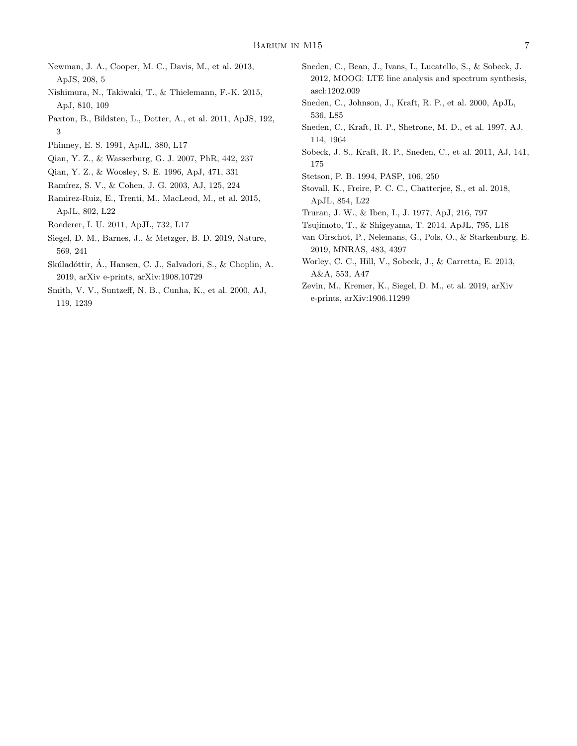- <span id="page-6-16"></span>Newman, J. A., Cooper, M. C., Davis, M., et al. 2013, ApJS, 208, 5
- <span id="page-6-6"></span>Nishimura, N., Takiwaki, T., & Thielemann, F.-K. 2015, ApJ, 810, 109
- <span id="page-6-18"></span>Paxton, B., Bildsten, L., Dotter, A., et al. 2011, ApJS, 192, 3
- <span id="page-6-21"></span>Phinney, E. S. 1991, ApJL, 380, L17
- <span id="page-6-1"></span>Qian, Y. Z., & Wasserburg, G. J. 2007, PhR, 442, 237
- <span id="page-6-5"></span>Qian, Y. Z., & Woosley, S. E. 1996, ApJ, 471, 331
- <span id="page-6-19"></span>Ramírez, S. V., & Cohen, J. G. 2003, AJ, 125, 224
- <span id="page-6-4"></span>Ramirez-Ruiz, E., Trenti, M., MacLeod, M., et al. 2015, ApJL, 802, L22
- <span id="page-6-8"></span>Roederer, I. U. 2011, ApJL, 732, L17
- <span id="page-6-7"></span>Siegel, D. M., Barnes, J., & Metzger, B. D. 2019, Nature, 569, 241
- <span id="page-6-3"></span>Skúladóttir, Á., Hansen, C. J., Salvadori, S., & Choplin, A. 2019, arXiv e-prints, arXiv:1908.10729
- <span id="page-6-13"></span>Smith, V. V., Suntzeff, N. B., Cunha, K., et al. 2000, AJ, 119, 1239
- <span id="page-6-17"></span>Sneden, C., Bean, J., Ivans, I., Lucatello, S., & Sobeck, J. 2012, MOOG: LTE line analysis and spectrum synthesis, ascl:1202.009
- <span id="page-6-10"></span>Sneden, C., Johnson, J., Kraft, R. P., et al. 2000, ApJL, 536, L85
- <span id="page-6-9"></span>Sneden, C., Kraft, R. P., Shetrone, M. D., et al. 1997, AJ, 114, 1964
- <span id="page-6-11"></span>Sobeck, J. S., Kraft, R. P., Sneden, C., et al. 2011, AJ, 141, 175
- <span id="page-6-15"></span>Stetson, P. B. 1994, PASP, 106, 250
- <span id="page-6-22"></span>Stovall, K., Freire, P. C. C., Chatterjee, S., et al. 2018, ApJL, 854, L22
- <span id="page-6-0"></span>Truran, J. W., & Iben, I., J. 1977, ApJ, 216, 797
- <span id="page-6-14"></span>Tsujimoto, T., & Shigeyama, T. 2014, ApJL, 795, L18
- <span id="page-6-2"></span>van Oirschot, P., Nelemans, G., Pols, O., & Starkenburg, E. 2019, MNRAS, 483, 4397
- <span id="page-6-12"></span>Worley, C. C., Hill, V., Sobeck, J., & Carretta, E. 2013, A&A, 553, A47
- <span id="page-6-20"></span>Zevin, M., Kremer, K., Siegel, D. M., et al. 2019, arXiv e-prints, arXiv:1906.11299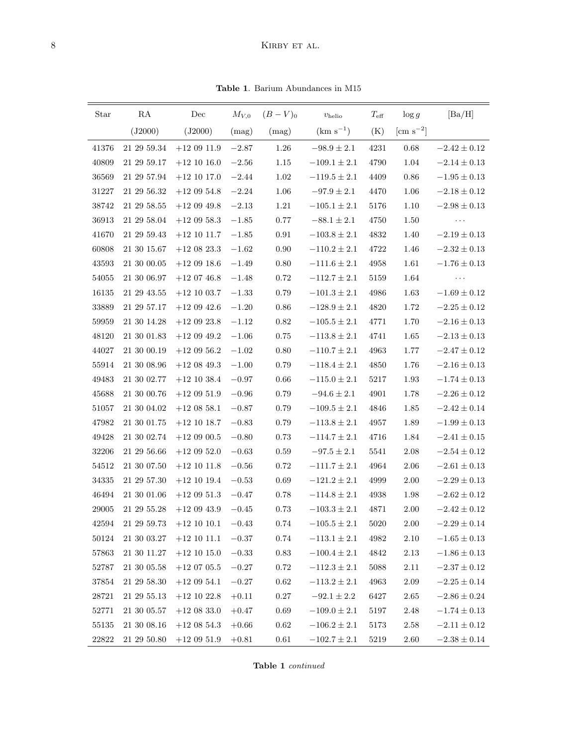Table 1. Barium Abundances in  $\rm M15$ 

<span id="page-7-0"></span>

| Star      | RA              | Dec             | $M_{V,0}$ | $(B - V)_{0}$ | $v_{\rm helio}$  | $T_{\rm eff}$ | $\log g$          | [Ba/H]               |
|-----------|-----------------|-----------------|-----------|---------------|------------------|---------------|-------------------|----------------------|
|           | (J2000)         | (J2000)         | (mag)     | (mag)         | $(km s^{-1})$    | (K)           | $\rm[cm\;s^{-2}]$ |                      |
| 41376     | 21 29 59.34     | $+120911.9$     | $-2.87\,$ | 1.26          | $-98.9\pm2.1$    | 4231          | 0.68              | $-2.42 \pm 0.12$     |
| 40809     | 21 29 59.17     | $+12$ 10 16.0   | $-2.56$   | 1.15          | $-109.1 \pm 2.1$ | 4790          | 1.04              | $-2.14 \pm 0.13$     |
| 36569     | 21 29 57.94     | $+12$ 10 17.0   | $-2.44$   | 1.02          | $-119.5 \pm 2.1$ | 4409          | 0.86              | $-1.95 \pm 0.13$     |
| 31227     | 21 29 56.32     | $+12$ 09 54.8   | $-2.24$   | 1.06          | $-97.9 \pm 2.1$  | 4470          | 1.06              | $-2.18 \pm 0.12$     |
| 38742     | 21 29 58.55     | $+120949.8$     | $-2.13$   | 1.21          | $-105.1 \pm 2.1$ | 5176          | 1.10              | $-2.98 \pm 0.13$     |
| 36913     | 21 29 58.04     | $+12$ 09 58.3   | $-1.85$   | $0.77\,$      | $-88.1 \pm 2.1$  | 4750          | 1.50              | $\sim$ $\sim$ $\sim$ |
| 41670     | 21 29 59.43     | $+12$ 10 11.7   | $-1.85$   | 0.91          | $-103.8 \pm 2.1$ | 4832          | 1.40              | $-2.19 \pm 0.13$     |
| 60808     | 21 30 15.67     | $+12\ 08\ 23.3$ | $-1.62$   | 0.90          | $-110.2 \pm 2.1$ | 4722          | 1.46              | $-2.32 \pm 0.13$     |
| $\!3593$  | 21 30 00.05     | $+120918.6$     | $-1.49$   | 0.80          | $-111.6 \pm 2.1$ | 4958          | 1.61              | $-1.76 \pm 0.13$     |
| 54055     | 21 30 06.97     | $+120746.8$     | $-1.48$   | 0.72          | $-112.7\pm2.1$   | 5159          | 1.64              | $\sim$ $\sim$ $\sim$ |
| 16135     | 21 29 43.55     | $+12$ 10 03.7   | $-1.33$   | 0.79          | $-101.3 \pm 2.1$ | 4986          | 1.63              | $-1.69 \pm 0.12$     |
| 33889     | 21 29 57.17     | $+120942.6$     | $-1.20$   | 0.86          | $-128.9 \pm 2.1$ | 4820          | 1.72              | $-2.25 \pm 0.12$     |
| 59959     | 21 30 14.28     | $+12$ 09 23.8   | $-1.12$   | 0.82          | $-105.5 \pm 2.1$ | 4771          | 1.70              | $-2.16 \pm 0.13$     |
| 48120     | 21 30 01.83     | $+120949.2$     | $-1.06$   | 0.75          | $-113.8 \pm 2.1$ | 4741          | 1.65              | $-2.13 \pm 0.13$     |
| 44027     | 21 30 00.19     | $+120956.2$     | $-1.02$   | 0.80          | $-110.7 \pm 2.1$ | 4963          | 1.77              | $-2.47 \pm 0.12$     |
| 55914     | 21 30 08.96     | $+12$ 08 49.3   | $-1.00$   | 0.79          | $-118.4 \pm 2.1$ | 4850          | 1.76              | $-2.16 \pm 0.13$     |
| 49483     | 21 30 02.77     | $+12$ 10 38.4   | $-0.97$   | 0.66          | $-115.0 \pm 2.1$ | 5217          | 1.93              | $-1.74 \pm 0.13$     |
| 45688     | 21 30 00.76     | $+120951.9$     | $-0.96$   | 0.79          | $-94.6 \pm 2.1$  | 4901          | 1.78              | $-2.26 \pm 0.12$     |
| 51057     | $21\ 30\ 04.02$ | $+12$ 08 58.1   | $-0.87$   | 0.79          | $-109.5 \pm 2.1$ | 4846          | 1.85              | $-2.42 \pm 0.14$     |
| 47982     | 21 30 01.75     | $+12$ 10 18.7   | $-0.83$   | 0.79          | $-113.8\pm2.1$   | 4957          | 1.89              | $-1.99\pm0.13$       |
| 49428     | 21 30 02.74     | $+120900.5$     | $-0.80$   | 0.73          | $-114.7 \pm 2.1$ | 4716          | 1.84              | $-2.41 \pm 0.15$     |
| 32206     | 21 29 56.66     | $+120952.0$     | $-0.63$   | 0.59          | $-97.5\pm2.1$    | 5541          | 2.08              | $-2.54 \pm 0.12$     |
| 54512     | 21 30 07.50     | $+12$ 10 11.8   | $-0.56$   | 0.72          | $-111.7 \pm 2.1$ | 4964          | 2.06              | $-2.61 \pm 0.13$     |
| 34335     | 21 29 57.30     | $+12$ 10 19.4   | $-0.53$   | 0.69          | $-121.2 \pm 2.1$ | 4999          | 2.00              | $-2.29 \pm 0.13$     |
| 46494     | 21 30 01.06     | $+12$ 09 51.3   | $-0.47$   | 0.78          | $-114.8 \pm 2.1$ | 4938          | 1.98              | $-2.62\pm0.12$       |
| 29005     | $21\ 29\ 55.28$ | $+120943.9$     | $-0.45$   | 0.73          | $-103.3 \pm 2.1$ | 4871          | 2.00              | $-2.42 \pm 0.12$     |
| 42594     | 21 29 59.73     | $+12$ 10 10.1   | $-0.43$   | 0.74          | $-105.5 \pm 2.1$ | 5020          | 2.00              | $-2.29 \pm 0.14$     |
| $50124\,$ | $21\ 30\ 03.27$ | $+12\ 10\ 11.1$ | $-0.37$   | $0.74\,$      | $-113.1\pm2.1$   | 4982          | $2.10\,$          | $-1.65\pm0.13$       |
| 57863     | 21 30 11.27     | $+12$ 10 15.0   | $-0.33$   | 0.83          | $-100.4 \pm 2.1$ | 4842          | 2.13              | $-1.86\pm0.13$       |
| 52787     | 21 30 05.58     | $+120705.5$     | $-0.27$   | 0.72          | $-112.3 \pm 2.1$ | 5088          | 2.11              | $-2.37 \pm 0.12$     |
| $37854\,$ | $21\ 29\ 58.30$ | $+12$ 09 54.1   | $-0.27$   | 0.62          | $-113.2\pm2.1$   | 4963          | 2.09              | $-2.25 \pm 0.14$     |
| 28721     | 21 29 55.13     | $+12$ 10 22.8   | $+0.11$   | $0.27\,$      | $-92.1\pm2.2$    | 6427          | 2.65              | $-2.86 \pm 0.24$     |
| 52771     | 21 30 05.57     | $+12$ 08 33.0   | $+0.47$   | 0.69          | $-109.0 \pm 2.1$ | 5197          | 2.48              | $-1.74 \pm 0.13$     |
| 55135     | 21 30 08.16     | $+12$ 08 54.3   | $+0.66$   | 0.62          | $-106.2 \pm 2.1$ | 5173          | 2.58              | $-2.11 \pm 0.12$     |
| 22822     | 21 29 50.80     | $+120951.9$     | $+0.81$   | $0.61\,$      | $-102.7 \pm 2.1$ | 5219          | 2.60              | $-2.38 \pm 0.14$     |

Table 1 continued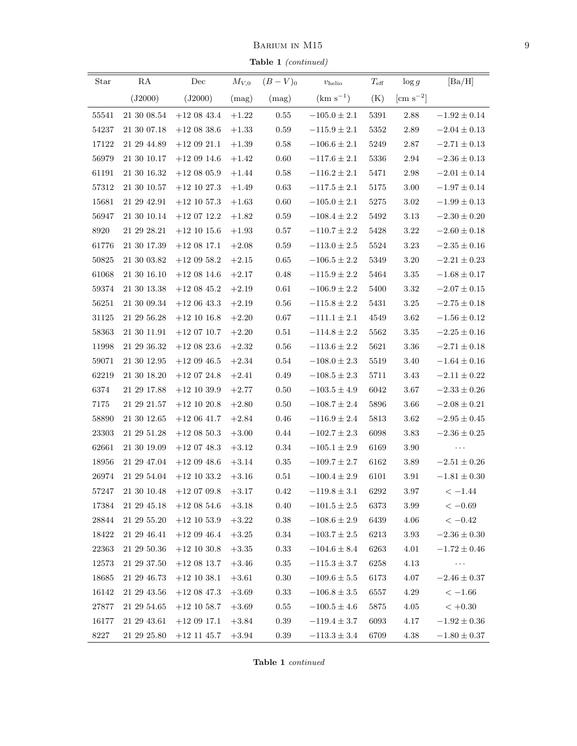BARIUM IN $\rm M15$ 

Table 1 (continued)

| Star      | RA          | Dec                                                 |         | $\frac{1}{2}$<br>$M_{V,0}$ $(B-V)_{0}$ | $v_{\rm helio}$  | $T_{\rm eff}$ | $\log g$       | [Ba/H]                                                                                          |
|-----------|-------------|-----------------------------------------------------|---------|----------------------------------------|------------------|---------------|----------------|-------------------------------------------------------------------------------------------------|
|           | (J2000)     | (J2000)                                             |         | $(mag)$ $(mag)$                        | $(km s^{-1})$    | (K)           | [cm $s^{-2}$ ] |                                                                                                 |
| 55541     | 21 30 08.54 | $+12$ 08 43.4                                       | $+1.22$ | 0.55                                   | $-105.0\pm2.1$   | 5391          | 2.88           | $-1.92\pm0.14$                                                                                  |
| 54237     | 21 30 07.18 | $+12$ 08 38.6                                       | $+1.33$ | 0.59                                   | $-115.9 \pm 2.1$ | 5352          | 2.89           | $-2.04\pm0.13$                                                                                  |
| 17122     | 21 29 44.89 | $+12$ 09 21.1                                       | $+1.39$ | 0.58                                   | $-106.6 \pm 2.1$ | 5249          | 2.87           | $-2.71 \pm 0.13$                                                                                |
| 56979     | 21 30 10.17 | $+120914.6$                                         | $+1.42$ | 0.60                                   | $-117.6 \pm 2.1$ | 5336          | 2.94           | $-2.36 \pm 0.13$                                                                                |
| 61191     | 21 30 16.32 | $+12$ 08 05.9                                       | $+1.44$ | 0.58                                   | $-116.2 \pm 2.1$ | 5471          | $2.98\,$       | $-2.01 \pm 0.14$                                                                                |
| 57312     | 21 30 10.57 | $+12$ 10 27.3 $+1.49$                               |         | 0.63                                   | $-117.5 \pm 2.1$ | 5175          | 3.00           | $-1.97 \pm 0.14$                                                                                |
| 15681     | 21 29 42.91 | $+12$ 10 57.3                                       | $+1.63$ | 0.60                                   | $-105.0 \pm 2.1$ | 5275          | 3.02           | $-1.99 \pm 0.13$                                                                                |
| 56947     | 21 30 10.14 | $+12\;07\;12.2$                                     | $+1.82$ | 0.59                                   | $-108.4 \pm 2.2$ | 5492          | 3.13           | $-2.30 \pm 0.20$                                                                                |
| 8920      | 21 29 28.21 | $+12$ 10 15.6                                       | $+1.93$ | 0.57                                   | $-110.7 \pm 2.2$ | $5428\,$      | $3.22\,$       | $-2.60\pm0.18$                                                                                  |
| 61776     | 21 30 17.39 | $+12$ 08 17.1                                       | $+2.08$ | 0.59                                   | $-113.0 \pm 2.5$ | 5524          | 3.23           | $-2.35 \pm 0.16$                                                                                |
| 50825     | 21 30 03.82 | $+120958.2$                                         | $+2.15$ | 0.65                                   | $-106.5 \pm 2.2$ | 5349          | 3.20           | $-2.21 \pm 0.23$                                                                                |
| 61068     | 21 30 16.10 | $+12$ 08 14.6                                       | $+2.17$ | 0.48                                   | $-115.9 \pm 2.2$ | 5464          | 3.35           | $-1.68 \pm 0.17$                                                                                |
| 59374     | 21 30 13.38 | $+12$ 08 45.2                                       | $+2.19$ | 0.61                                   | $-106.9 \pm 2.2$ | 5400          | 3.32           | $-2.07 \pm 0.15$                                                                                |
| 56251     | 21 30 09.34 | $+120643.3$                                         | $+2.19$ | 0.56                                   | $-115.8 \pm 2.2$ | 5431          | 3.25           | $-2.75 \pm 0.18$                                                                                |
| 31125     | 21 29 56.28 | $+12$ 10 16.8                                       | $+2.20$ | 0.67                                   | $-111.1 \pm 2.1$ | 4549          | 3.62           | $-1.56 \pm 0.12$                                                                                |
| 58363     | 21 30 11.91 | $+12$ 07 10.7                                       | $+2.20$ | 0.51                                   | $-114.8 \pm 2.2$ | 5562          | 3.35           | $-2.25 \pm 0.16$                                                                                |
| 11998     | 21 29 36.32 | $+12$ 08 23.6                                       | $+2.32$ | 0.56                                   | $-113.6 \pm 2.2$ | 5621          | 3.36           | $-2.71 \pm 0.18$                                                                                |
| 59071     | 21 30 12.95 | $+120946.5$                                         | $+2.34$ | 0.54                                   | $-108.0 \pm 2.3$ | 5519          | 3.40           | $-1.64 \pm 0.16$                                                                                |
| 62219     | 21 30 18.20 | $+120724.8$                                         | $+2.41$ | 0.49                                   | $-108.5 \pm 2.3$ | 5711          | 3.43           | $-2.11 \pm 0.22$                                                                                |
| 6374      | 21 29 17.88 | $+12$ 10 39.9                                       | $+2.77$ | 0.50                                   | $-103.5 \pm 4.9$ | 6042          | 3.67           | $-2.33 \pm 0.26$                                                                                |
| 7175      | 21 29 21.57 | $+12$ 10 20.8                                       | $+2.80$ | 0.50                                   | $-108.7 \pm 2.4$ | 5896          | 3.66           | $-2.08 \pm 0.21$                                                                                |
| 58890     | 21 30 12.65 | $+120641.7$                                         | $+2.84$ | 0.46                                   | $-116.9 \pm 2.4$ | 5813          | 3.62           | $-2.95 \pm 0.45$                                                                                |
| 23303     | 21 29 51.28 | $+12$ 08 50.3                                       | $+3.00$ | 0.44                                   | $-102.7 \pm 2.3$ | 6098          | $3.83\,$       | $-2.36 \pm 0.25$                                                                                |
| 62661     | 21 30 19.09 | $+12$ 07 48.3 $+3.12$                               |         | $\rm 0.34$                             | $-105.1 \pm 2.9$ | 6169          | 3.90           | $\mathcal{L}^{\mathcal{L}}$ , and $\mathcal{L}^{\mathcal{L}}$ , and $\mathcal{L}^{\mathcal{L}}$ |
| 18956     | 21 29 47.04 | $+12$ 09 48.6                                       | $+3.14$ | 0.35                                   | $-109.7 \pm 2.7$ | 6162          | 3.89           | $-2.51 \pm 0.26$                                                                                |
| 26974     |             | $21\ 29\ 54.04\quad \  +12\ 10\ 33.2\quad \  +3.16$ |         | 0.51                                   | $-100.4 \pm 2.9$ | 6101          | 3.91           | $-1.81 \pm 0.30$                                                                                |
| $57247\,$ | 21 30 10.48 | $+12$ 07 09.8                                       | $+3.17$ | 0.42                                   | $-119.8\pm3.1$   | 6292          | 3.97           | $<-1.44$                                                                                        |
| 17384     | 21 29 45.18 | $+12$ 08 54.6                                       | $+3.18$ | 0.40                                   | $-101.5 \pm 2.5$ | 6373          | 3.99           | $<-0.69$                                                                                        |
| 28844     | 21 29 55.20 | $+12$ 10 53.9                                       | $+3.22$ | 0.38                                   | $-108.6\pm2.9$   | 6439          | 4.06           | $<-0.42$                                                                                        |
| 18422     | 21 29 46.41 | $+120946.4$                                         | $+3.25$ | 0.34                                   | $-103.7 \pm 2.5$ | 6213          | 3.93           | $-2.36 \pm 0.30$                                                                                |
| 22363     | 21 29 50.36 | $+12$ 10 30.8                                       | $+3.35$ | 0.33                                   | $-104.6 \pm 8.4$ | 6263          | 4.01           | $-1.72 \pm 0.46$                                                                                |
| 12573     | 21 29 37.50 | $+12$ 08 13.7                                       | $+3.46$ | 0.35                                   | $-115.3 \pm 3.7$ | 6258          | 4.13           | $\ldots$                                                                                        |
| 18685     | 21 29 46.73 | $+12$ 10 38.1                                       | $+3.61$ | 0.30                                   | $-109.6 \pm 5.5$ | 6173          | 4.07           | $-2.46 \pm 0.37$                                                                                |
| 16142     | 21 29 43.56 | $+12$ 08 47.3                                       | $+3.69$ | 0.33                                   | $-106.8 \pm 3.5$ | 6557          | 4.29           | $<-1.66$                                                                                        |
| 27877     | 21 29 54.65 | $+12$ 10 58.7                                       | $+3.69$ | 0.55                                   | $-100.5 \pm 4.6$ | 5875          | 4.05           | $< +0.30$                                                                                       |
| 16177     | 21 29 43.61 | $+120917.1$                                         | $+3.84$ | 0.39                                   | $-119.4 \pm 3.7$ | 6093          | 4.17           | $-1.92 \pm 0.36$                                                                                |
| $8227\,$  | 21 29 25.80 | $+12$ 11 45.7                                       | $+3.94$ | 0.39                                   | $-113.3 \pm 3.4$ | 6709          | 4.38           | $-1.80 \pm 0.37$                                                                                |

Table 1 continued